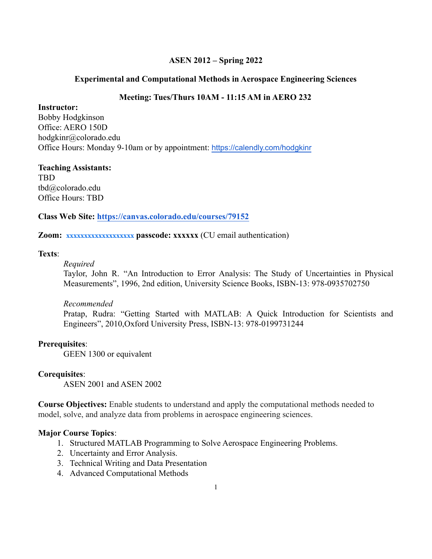## **ASEN 2012 – Spring 2022**

#### **Experimental and Computational Methods in Aerospace Engineering Sciences**

#### **Meeting: Tues/Thurs 10AM - 11:15 AM in AERO 232**

#### **Instructor:**

Bobby Hodgkinson Office: AERO 150D hodgkinr@colorado.edu Office Hours: Monday 9-10am or by appointment: <https://calendly.com/hodgkinr>

#### **Teaching Assistants:** TBD tbd@colorado.edu

Office Hours: TBD

## **Class Web Site: <https://canvas.colorado.edu/courses/79152>**

#### **Zoom: xxxxxxxxxxxxxxxxxxx passcode: xxxxxx** (CU email authentication)

#### **Texts**:

#### *Required*

Taylor, John R. "An Introduction to Error Analysis: The Study of Uncertainties in Physical Measurements", 1996, 2nd edition, University Science Books, ISBN-13: 978-0935702750

## *Recommended*

Pratap, Rudra: "Getting Started with MATLAB: A Quick Introduction for Scientists and Engineers", 2010,Oxford University Press, ISBN-13: 978-0199731244

## **Prerequisites**:

GEEN 1300 or equivalent

#### **Corequisites**:

ASEN 2001 and ASEN 2002

**Course Objectives:** Enable students to understand and apply the computational methods needed to model, solve, and analyze data from problems in aerospace engineering sciences.

## **Major Course Topics**:

- 1. Structured MATLAB Programming to Solve Aerospace Engineering Problems.
- 2. Uncertainty and Error Analysis.
- 3. Technical Writing and Data Presentation
- 4. Advanced Computational Methods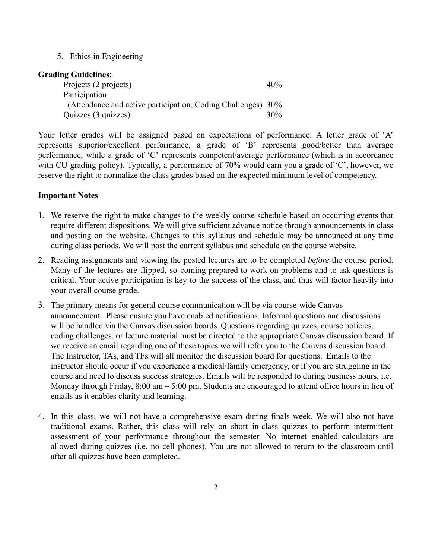5. Ethics in Engineering

## **Grading Guidelines**:

| Projects (2 projects)                                        | 40% |
|--------------------------------------------------------------|-----|
| Participation                                                |     |
| (Attendance and active participation, Coding Challenges) 30% |     |
| Quizzes (3 quizzes)                                          | 30% |

Your letter grades will be assigned based on expectations of performance. A letter grade of 'A' represents superior/excellent performance, a grade of 'B' represents good/better than average performance, while a grade of 'C' represents competent/average performance (which is in accordance with CU grading policy). Typically, a performance of 70% would earn you a grade of 'C', however, we reserve the right to normalize the class grades based on the expected minimum level of competency.

## **Important Notes**

- 1. We reserve the right to make changes to the weekly course schedule based on occurring events that require different dispositions. We will give sufficient advance notice through announcements in class and posting on the website. Changes to this syllabus and schedule may be announced at any time during class periods. We will post the current syllabus and schedule on the course website.
- 2. Reading assignments and viewing the posted lectures are to be completed *before* the course period. Many of the lectures are flipped, so coming prepared to work on problems and to ask questions is critical. Your active participation is key to the success of the class, and thus will factor heavily into your overall course grade.
- 3. The primary means for general course communication will be via course-wide Canvas announcement. Please ensure you have enabled notifications. Informal questions and discussions will be handled via the Canvas discussion boards. Questions regarding quizzes, course policies, coding challenges, or lecture material must be directed to the appropriate Canvas discussion board. If we receive an email regarding one of these topics we will refer you to the Canvas discussion board. The Instructor, TAs, and TFs will all monitor the discussion board for questions. Emails to the instructor should occur if you experience a medical/family emergency, or if you are struggling in the course and need to discuss success strategies. Emails will be responded to during business hours, i.e. Monday through Friday, 8:00 am – 5:00 pm. Students are encouraged to attend office hours in lieu of emails as it enables clarity and learning.
- 4. In this class, we will not have a comprehensive exam during finals week. We will also not have traditional exams. Rather, this class will rely on short in-class quizzes to perform intermittent assessment of your performance throughout the semester. No internet enabled calculators are allowed during quizzes (i.e. no cell phones). You are not allowed to return to the classroom until after all quizzes have been completed.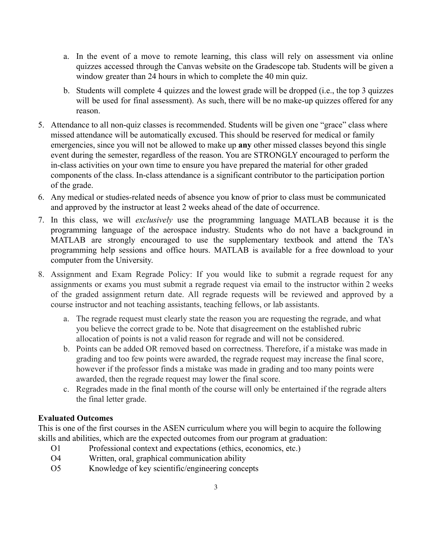- a. In the event of a move to remote learning, this class will rely on assessment via online quizzes accessed through the Canvas website on the Gradescope tab. Students will be given a window greater than 24 hours in which to complete the 40 min quiz.
- b. Students will complete 4 quizzes and the lowest grade will be dropped (i.e., the top 3 quizzes will be used for final assessment). As such, there will be no make-up quizzes offered for any reason.
- 5. Attendance to all non-quiz classes is recommended. Students will be given one "grace" class where missed attendance will be automatically excused. This should be reserved for medical or family emergencies, since you will not be allowed to make up **any** other missed classes beyond this single event during the semester, regardless of the reason. You are STRONGLY encouraged to perform the in-class activities on your own time to ensure you have prepared the material for other graded components of the class. In-class attendance is a significant contributor to the participation portion of the grade.
- 6. Any medical or studies-related needs of absence you know of prior to class must be communicated and approved by the instructor at least 2 weeks ahead of the date of occurrence.
- 7. In this class, we will *exclusively* use the programming language MATLAB because it is the programming language of the aerospace industry. Students who do not have a background in MATLAB are strongly encouraged to use the supplementary textbook and attend the TA's programming help sessions and office hours. MATLAB is available for a free download to your computer from the University.
- 8. Assignment and Exam Regrade Policy: If you would like to submit a regrade request for any assignments or exams you must submit a regrade request via email to the instructor within 2 weeks of the graded assignment return date. All regrade requests will be reviewed and approved by a course instructor and not teaching assistants, teaching fellows, or lab assistants.
	- a. The regrade request must clearly state the reason you are requesting the regrade, and what you believe the correct grade to be. Note that disagreement on the established rubric allocation of points is not a valid reason for regrade and will not be considered.
	- b. Points can be added OR removed based on correctness. Therefore, if a mistake was made in grading and too few points were awarded, the regrade request may increase the final score, however if the professor finds a mistake was made in grading and too many points were awarded, then the regrade request may lower the final score.
	- c. Regrades made in the final month of the course will only be entertained if the regrade alters the final letter grade.

## **Evaluated Outcomes**

This is one of the first courses in the ASEN curriculum where you will begin to acquire the following skills and abilities, which are the expected outcomes from our program at graduation:

- O1 Professional context and expectations (ethics, economics, etc.)
- O4 Written, oral, graphical communication ability
- O5 Knowledge of key scientific/engineering concepts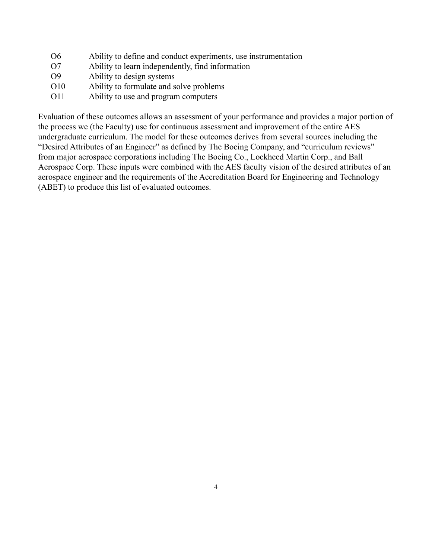- O6 Ability to define and conduct experiments, use instrumentation
- O7 Ability to learn independently, find information
- O9 Ability to design systems
- O10 Ability to formulate and solve problems
- O11 Ability to use and program computers

Evaluation of these outcomes allows an assessment of your performance and provides a major portion of the process we (the Faculty) use for continuous assessment and improvement of the entire AES undergraduate curriculum. The model for these outcomes derives from several sources including the "Desired Attributes of an Engineer" as defined by The Boeing Company, and "curriculum reviews" from major aerospace corporations including The Boeing Co., Lockheed Martin Corp., and Ball Aerospace Corp. These inputs were combined with the AES faculty vision of the desired attributes of an aerospace engineer and the requirements of the Accreditation Board for Engineering and Technology (ABET) to produce this list of evaluated outcomes.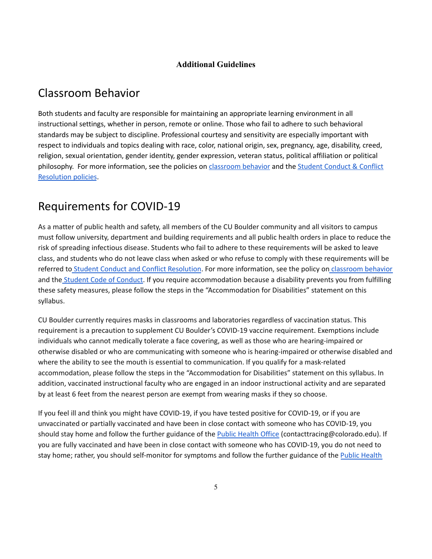#### **Additional Guidelines**

## Classroom Behavior

Both students and faculty are responsible for maintaining an appropriate learning environment in all instructional settings, whether in person, remote or online. Those who fail to adhere to such behavioral standards may be subject to discipline. Professional courtesy and sensitivity are especially important with respect to individuals and topics dealing with race, color, national origin, sex, pregnancy, age, disability, creed, religion, sexual orientation, gender identity, gender expression, veteran status, political affiliation or political philosophy. For more information, see the policies on *[classroom](http://www.colorado.edu/policies/student-classroom-and-course-related-behavior) behavior* and the *Student [Conduct](https://www.colorado.edu/sccr/student-conduct) & Conflict* [Resolution](https://www.colorado.edu/sccr/student-conduct) policies.

## Requirements for COVID-19

As a matter of public health and safety, all members of the CU Boulder community and all visitors to campus must follow university, department and building requirements and all public health orders in place to reduce the risk of spreading infectious disease. Students who fail to adhere to these requirements will be asked to leave class, and students who do not leave class when asked or who refuse to comply with these requirements will be referred to Student Conduct and Conflict [Resolution](https://www.colorado.edu/sccr/). For more information, see the policy on [classroom](http://www.colorado.edu/policies/student-classroom-and-course-related-behavior) behavior and the Student Code of [Conduct.](http://www.colorado.edu/osccr/) If you require accommodation because a disability prevents you from fulfilling these safety measures, please follow the steps in the "Accommodation for Disabilities" statement on this syllabus.

CU Boulder currently requires masks in classrooms and laboratories regardless of vaccination status. This requirement is a precaution to supplement CU Boulder's COVID-19 vaccine requirement. Exemptions include individuals who cannot medically tolerate a face covering, as well as those who are hearing-impaired or otherwise disabled or who are communicating with someone who is hearing-impaired or otherwise disabled and where the ability to see the mouth is essential to communication. If you qualify for a mask-related accommodation, please follow the steps in the "Accommodation for Disabilities" statement on this syllabus. In addition, vaccinated instructional faculty who are engaged in an indoor instructional activity and are separated by at least 6 feet from the nearest person are exempt from wearing masks if they so choose.

If you feel ill and think you might have COVID-19, if you have tested positive for COVID-19, or if you are unvaccinated or partially vaccinated and have been in close contact with someone who has COVID-19, you should stay home and follow the further guidance of the Public [Health](https://www.colorado.edu/health/public-health/quarantine-and-isolation) Office (contacttracing@colorado.edu). If you are fully vaccinated and have been in close contact with someone who has COVID-19, you do not need to stay home; rather, you should self-monitor for symptoms and follow the further guidance of the Public [Health](https://www.colorado.edu/health/public-health/quarantine-and-isolation)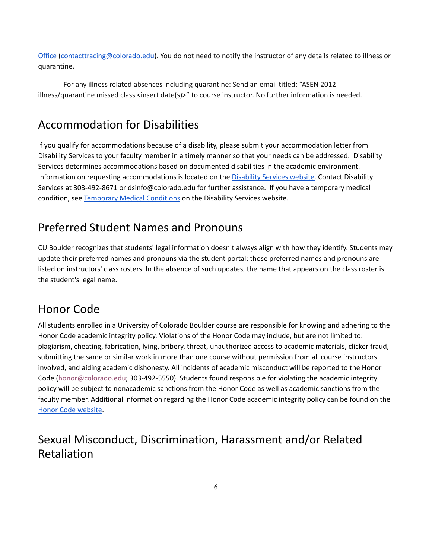[Office](https://www.colorado.edu/health/public-health/quarantine-and-isolation) [\(contacttracing@colorado.edu\)](mailto:contacttracing@colorado.edu). You do not need to notify the instructor of any details related to illness or quarantine.

For any illness related absences including quarantine: Send an email titled: "ASEN 2012 illness/quarantine missed class <insert date(s)>" to course instructor. No further information is needed.

# Accommodation for Disabilities

If you qualify for accommodations because of a disability, please submit your accommodation letter from Disability Services to your faculty member in a timely manner so that your needs can be addressed. Disability Services determines accommodations based on documented disabilities in the academic environment. Information on requesting accommodations is located on the [Disability](https://www.colorado.edu/disabilityservices/) Services website. Contact Disability Services at 303-492-8671 or dsinfo@colorado.edu for further assistance. If you have a temporary medical condition, see [Temporary](http://www.colorado.edu/disabilityservices/students/temporary-medical-conditions) Medical Conditions on the Disability Services website.

# Preferred Student Names and Pronouns

CU Boulder recognizes that students' legal information doesn't always align with how they identify. Students may update their preferred names and pronouns via the student portal; those preferred names and pronouns are listed on instructors' class rosters. In the absence of such updates, the name that appears on the class roster is the student's legal name.

## Honor Code

All students enrolled in a University of Colorado Boulder course are responsible for knowing and adhering to the Honor Code academic integrity policy. Violations of the Honor Code may include, but are not limited to: plagiarism, cheating, fabrication, lying, bribery, threat, unauthorized access to academic materials, clicker fraud, submitting the same or similar work in more than one course without permission from all course instructors involved, and aiding academic dishonesty. All incidents of academic misconduct will be reported to the Honor Code (honor@colorado.edu; 303-492-5550). Students found responsible for violating the academic integrity policy will be subject to nonacademic sanctions from the Honor Code as well as academic sanctions from the faculty member. Additional information regarding the Honor Code academic integrity policy can be found on th[e](https://www.colorado.edu/osccr/honor-code) Honor Code [website.](https://www.colorado.edu/osccr/honor-code)

# Sexual Misconduct, Discrimination, Harassment and/or Related Retaliation